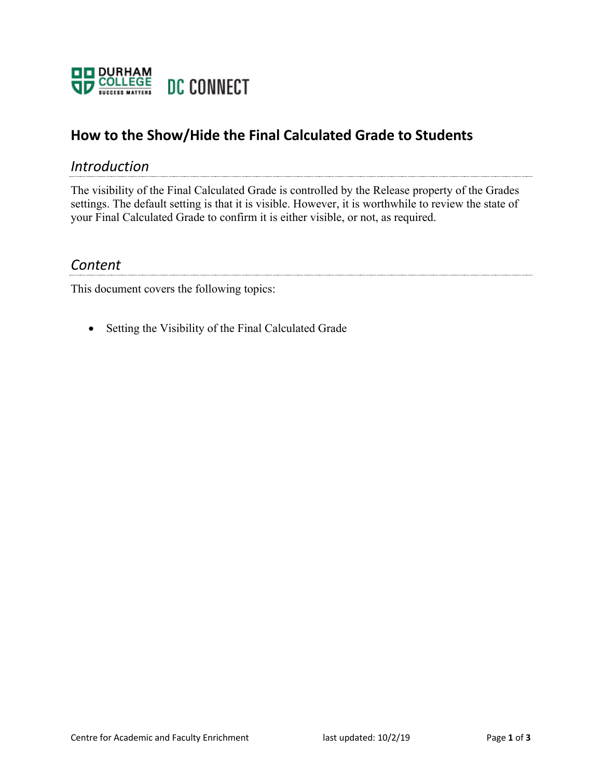

## **How to the Show/Hide the Final Calculated Grade to Students**

## *Introduction*

The visibility of the Final Calculated Grade is controlled by the Release property of the Grades settings. The default setting is that it is visible. However, it is worthwhile to review the state of your Final Calculated Grade to confirm it is either visible, or not, as required.

## *Content*

This document covers the following topics:

• Setting the Visibility of the Final Calculated Grade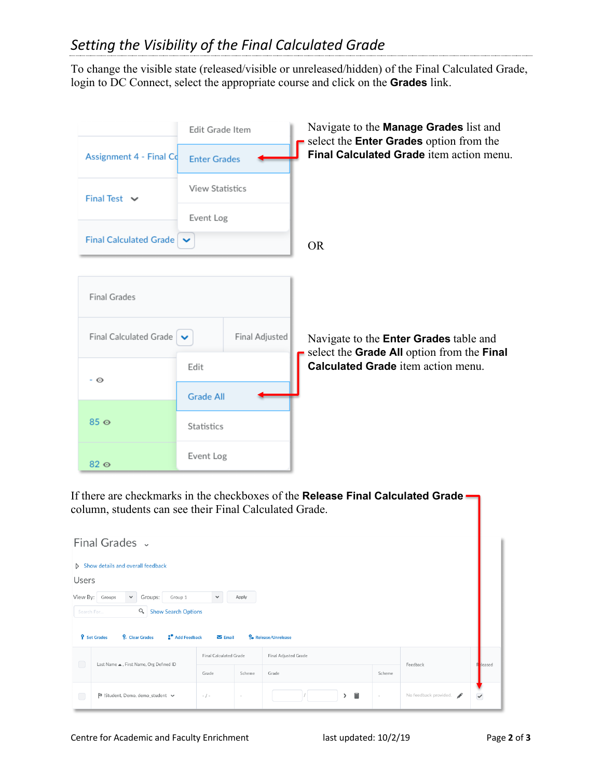To change the visible state (released/visible or unreleased/hidden) of the Final Calculated Grade, login to DC Connect, select the appropriate course and click on the **Grades** link.

|                                              | Edit Grade Item        |                | Navigate to the <b>Manage Grades</b> list and<br>select the <b>Enter Grades</b> option from the |
|----------------------------------------------|------------------------|----------------|-------------------------------------------------------------------------------------------------|
| Assignment 4 - Final Co                      | <b>Enter Grades</b>    |                | Final Calculated Grade item action menu.                                                        |
| Final Test $\vee$                            | <b>View Statistics</b> |                |                                                                                                 |
|                                              | Event Log              |                |                                                                                                 |
| Final Calculated Grade                       |                        |                | <b>OR</b>                                                                                       |
|                                              |                        |                |                                                                                                 |
| <b>Final Grades</b>                          |                        |                |                                                                                                 |
| Final Calculated Grade $\blacktriangleright$ |                        | Final Adjusted | Navigate to the <b>Enter Grades</b> table and<br>select the Grade All option from the Final     |
|                                              | Edit                   |                | Calculated Grade item action menu.                                                              |
| - 0                                          | <b>Grade All</b>       |                |                                                                                                 |
| $85\,\omega$                                 | Statistics             |                |                                                                                                 |
| $82\,\omega$                                 | Event Log              |                |                                                                                                 |

If there are checkmarks in the checkboxes of the **Release Final Calculated Grade** column, students can see their Final Calculated Grade.

|                                                                                  | Final Grades v                                               |                        |        |                            |          |                       |              |
|----------------------------------------------------------------------------------|--------------------------------------------------------------|------------------------|--------|----------------------------|----------|-----------------------|--------------|
|                                                                                  | Show details and overall feedback                            |                        |        |                            |          |                       |              |
| <b>Users</b>                                                                     |                                                              |                        |        |                            |          |                       |              |
| View By:                                                                         | Groups:<br>$\checkmark$<br>Groups<br>Group 1                 | $\checkmark$           | Apply  |                            |          |                       |              |
| Search For                                                                       | $\alpha$<br><b>Show Search Options</b>                       |                        |        |                            |          |                       |              |
|                                                                                  | <b>9</b> Set Grades<br>Add Feedback<br><b>2</b> Clear Grades | $\sum$ Email           |        | <b>P</b> Release/Unrelease |          |                       |              |
|                                                                                  |                                                              | Final Calculated Grade |        | Final Adjusted Grade       |          |                       |              |
| $\begin{pmatrix} 1 \\ 1 \end{pmatrix}$<br>Last Name . First Name, Org Defined ID | Grade                                                        | Scheme                 | Grade  | Scheme                     | Feedback | Reased                |              |
| L.                                                                               | B !Student, Demo, demo_student ↓                             | $-$ / $-$              | $\sim$ | 畐<br>≻                     | $\sim$   | No feedback provided. | $\checkmark$ |